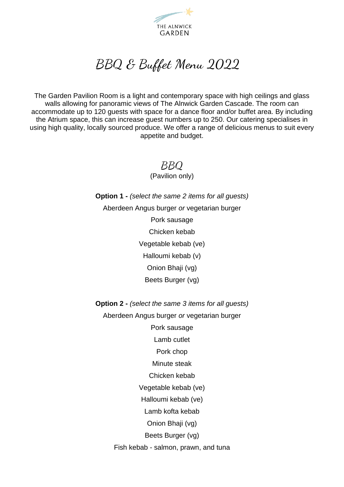

# BBQ & Buffet Menu 2022

The Garden Pavilion Room is a light and contemporary space with high ceilings and glass walls allowing for panoramic views of The Alnwick Garden Cascade. The room can accommodate up to 120 guests with space for a dance floor and/or buffet area. By including the Atrium space, this can increase guest numbers up to 250. Our catering specialises in using high quality, locally sourced produce. We offer a range of delicious menus to suit every appetite and budget.

> BBQ (Pavilion only)

**Option 1 -** *(select the same 2 items for all guests)* Aberdeen Angus burger *or* vegetarian burger

Pork sausage

Chicken kebab

Vegetable kebab (ve)

Halloumi kebab (v)

Onion Bhaji (vg)

Beets Burger (vg)

**Option 2 -** *(select the same 3 items for all guests)*

Aberdeen Angus burger *or* vegetarian burger

Pork sausage

Lamb cutlet

Pork chop

Minute steak

Chicken kebab

Vegetable kebab (ve)

Halloumi kebab (ve)

Lamb kofta kebab

Onion Bhaji (vg)

Beets Burger (vg)

Fish kebab - salmon, prawn, and tuna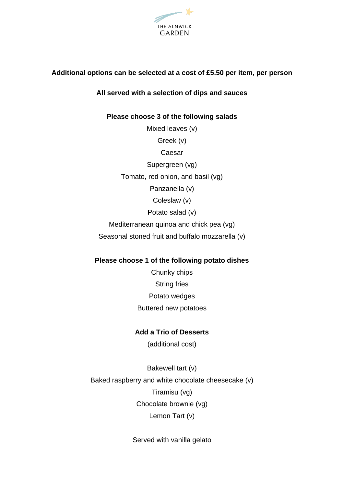

### **Additional options can be selected at a cost of £5.50 per item, per person**

#### **All served with a selection of dips and sauces**

# **Please choose 3 of the following salads** Mixed leaves (v)

Greek (v)

Caesar

Supergreen (vg)

Tomato, red onion, and basil (vg)

Panzanella (v)

Coleslaw (v)

Potato salad (v)

Mediterranean quinoa and chick pea (vg)

Seasonal stoned fruit and buffalo mozzarella (v)

#### **Please choose 1 of the following potato dishes**

Chunky chips String fries Potato wedges Buttered new potatoes

## **Add a Trio of Desserts**

(additional cost)

Bakewell tart (v) Baked raspberry and white chocolate cheesecake (v) Tiramisu (vg) Chocolate brownie (vg) Lemon Tart (v)

Served with vanilla gelato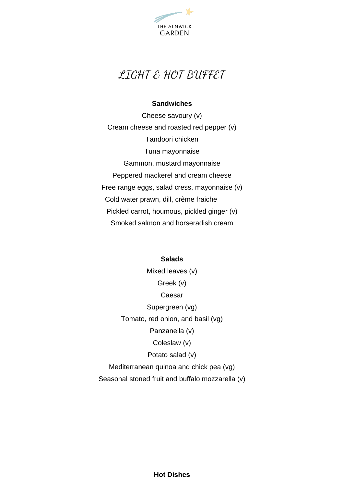

# LIGHT & HOT BUFFET

#### **Sandwiches**

Cheese savoury (v) Cream cheese and roasted red pepper (v) Tandoori chicken Tuna mayonnaise Gammon, mustard mayonnaise Peppered mackerel and cream cheese Free range eggs, salad cress, mayonnaise (v) Cold water prawn, dill, crème fraiche Pickled carrot, houmous, pickled ginger (v) Smoked salmon and horseradish cream

#### **Salads**

Mixed leaves (v) Greek (v) Caesar Supergreen (vg) Tomato, red onion, and basil (vg) Panzanella (v) Coleslaw (v) Potato salad (v) Mediterranean quinoa and chick pea (vg) Seasonal stoned fruit and buffalo mozzarella (v)

**Hot Dishes**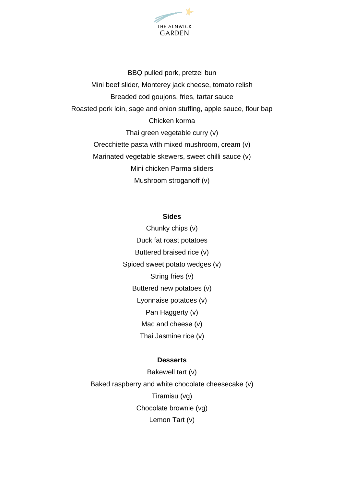

BBQ pulled pork, pretzel bun Mini beef slider, Monterey jack cheese, tomato relish Breaded cod goujons, fries, tartar sauce Roasted pork loin, sage and onion stuffing, apple sauce, flour bap Chicken korma Thai green vegetable curry (v) Orecchiette pasta with mixed mushroom, cream (v) Marinated vegetable skewers, sweet chilli sauce (v) Mini chicken Parma sliders Mushroom stroganoff (v)

#### **Sides**

Chunky chips (v) Duck fat roast potatoes Buttered braised rice (v) Spiced sweet potato wedges (v) String fries (v) Buttered new potatoes (v) Lyonnaise potatoes (v) Pan Haggerty (v) Mac and cheese (v) Thai Jasmine rice (v)

#### **Desserts**

Bakewell tart (v) Baked raspberry and white chocolate cheesecake (v) Tiramisu (vg) Chocolate brownie (vg) Lemon Tart (v)